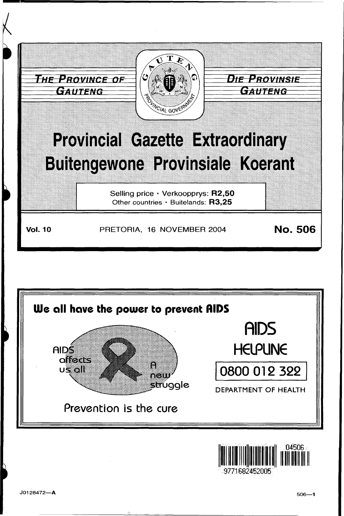



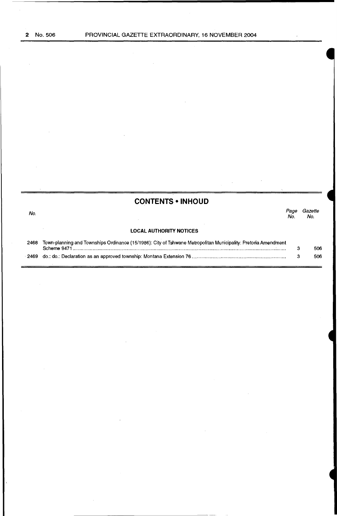$\bar{z}$ 

No.

÷,

## **CONTENTS • INHOUD**

Page Gazette No. No.

#### **LOCAL AUTHORITY NOTICES**

| 2468 Town-planning and Townships Ordinance (15/1986): City of Tshwane Metropolitan Municipality: Pretoria Amendment |     |
|---------------------------------------------------------------------------------------------------------------------|-----|
|                                                                                                                     | 506 |
|                                                                                                                     | 506 |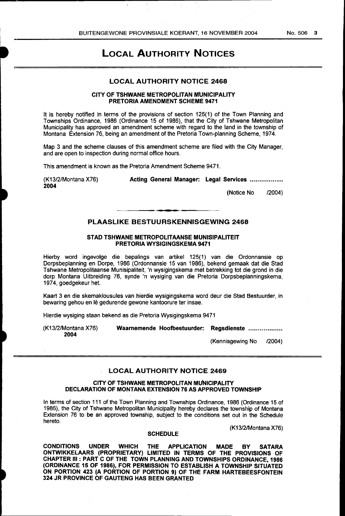# LOCAL AUTHORITY NOTICES

### LOCAL AUTHORITY NOTICE 2468

#### CITY OF TSHWANE METROPOLITAN MUNICIPALITY PRETORIA AMENDMENT SCHEME 9471

It is hereby notified in terms of the provisions of section 125(1) of the Town Planning and Townships Ordinance, 1986 (Ordinance 15 of 1986), that the City of Tshwane Metropolitan Municipality has approved an amendment scheme with regard to the land in the township of Montana Extension 76, being an amendment of the Pretoria Town-planning Scheme, 1974.

Map 3 and the scheme clauses of this amendment scheme are filed with the City Manager, and are open to inspection during normal office hours.

This amendment is known as the Pretoria Amendment Scheme 9471.

(K13/2/Montana X76) 2004

Acting General Manager: Legal Services ..................

(Notice No /2004)

# . -. PLAASLIKE BESTUURSKENNISGEWING 2468

#### STAD TSHWANE METROPOLITAANSE MUNISIPALITEIT PRETORIA WYSIGINGSKEMA 9471

Hierby word ingevolge die bepalings van artikel 125(1) van die Ordonnansie op Dorpsbeplanning en Dorpe, 1986 (Ordonnansie 15 van 1986), bekend gemaak dat die Stad Tshwane Metropolitaanse Munisipaliteit, 'n wysigingskema met betrekking tot die grand in die dorp Montana Uitbreiding 76, synde 'n wysiging van die Pretoria Dorpsbeplanningskema, 1974, goedgekeur het.

Kaart 3 en die skemaklousules van hierdie wysigingskema word deur die Stad Bestuurder, in bewaring gehou en lê gedurende gewone kantoorure ter insae.

Hierdie wysiging staan bekend as die Pretoria Wysigingskema 9471

(K13/2/Montana X76) 2004

Waarnemende Hoofbestuurder: Regsdienste

(Kennisgewing No /2004)

#### LOCAL AUTHORITY NOTICE 2469

#### CITY OF TSHWANE METROPOLITAN MuNICIPALITY DECLARATION OF MONTANA EXTENSION 76 AS APPROVED TOWNSHIP

In terms of section 111 of the Town Planning and Townships Ordinance, 1986 (Ordinance 15 of 1986), the City of Tshwane Metropolitan Municipality hereby declares the township of Montana Extension 76 to be an approved township, subject to the conditions set out in the Schedule hereto.

(K13/2/Montana X76)

#### **SCHEDULE**

CONDITIONS UNDER WHICH THE APPLICATION MADE BY SATARA ONTWIKKELAARS (PROPRIETARY) LIMITED IN TERMS OF THE PROVISIONS OF CHAPTER Ill : PART C OF THE TOWN PLANNING AND TOWNSHIPS ORDINANCE, 1986 (ORDINANCE 15 OF 1986), FOR PERMISSION TO ESTABLISH A TOWNSHIP SITUATED ON PORTION 423 (A PORTION OF PORTION 9) OF THE FARM HARTEBEESFONTEIN 324 JR PROVINCE OF GAUTENG HAS BEEN GRANTED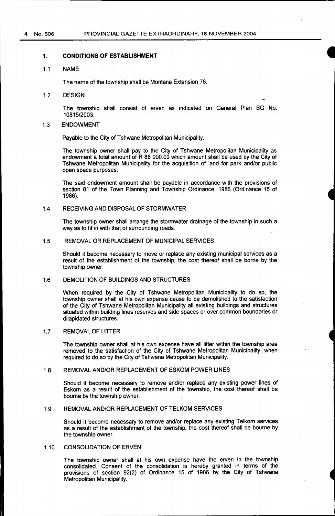#### **1. CONDITIONS OF ESTABLISHMENT**

#### 1.1 NAME

The name of the township shall be Montana Extension 76.

1.2 DESIGN

The township shall consist of erven as indicated on General Plan SG No. 10815/2003.

#### 1.3 ENDOWMENT

Payable to the City of Tshwane Metropolitan Municipality.

The township owner shall pay to the City of Tshwane Metropolitan Municipality as endowment a total amount of R 88 000.00 which amount shall be used by the City of Tshwane Metropolitan Municipality for the acquisition of land for park and/or public open space purposes.

The said endowment amount shall be payable in accordance with the provisions of section 81 of the Town Planning and Township Ordinance, 1986 (Ordinance 15 of 1986).

#### 1.4 RECEIVING AND DISPOSAL OF STORMWATER

The township owner shall arrange the stormwater drainage of the township in such a way as to fit in with that of surrounding roads.

#### 1.5 REMOVAL OR REPLACEMENT OF MUNICIPAL SERVICES

Should it become necessary to move or replace any existing municipal services as a result of the establishment of the township, the cost thereof shall be borne by the township owner.

#### 1.6 DEMOLITION OF BUILDINGS AND STRUCTURES

When required by the City of Tshwane Metropolitan Municipality to do so, the township owner shall at his own expense cause to be demolished to the satisfaction of the City of Tshwane Metropolitan Municipality all existing buildings and structures situated within building lines reserves and side spaces or over common boundaries or dilapidated structures.

#### 1.7 REMOVAL OF LITTER

The township owner shall at his own expense have all litter within the township area removed to the satisfaction of the City of Tshwane Metropolitan Municipality, when required to do so by the City of Tshwane Metropolitan Municipality.

#### 1.8 REMOVAL AND/OR REPLACEMENT OF ESKOM POWER LINES

Should it become necessary to remove and/or replace any existing power lines of Eskom as a result of the establishment of the township, the cost thereof shall be bourne by the township owner.

#### 1.9 REMOVAL AND/OR REPLACEMENT OF TELKOM SERVICES

Should it become necessary to remove and/or replace any existing Telkom services as a result of the establishment of the township, the cost thereof shall be bourne by the township owner.

#### 1.10 CONSOLIDATION OF ERVEN

The township owner shall at his own expense have the erven in the township consolidated. Consent of the consolidation is hereby granted in terms of the provisions of section 92(2) of Ordinance 15 of 1986 by the City of Tshwane Metropolitan Municipality.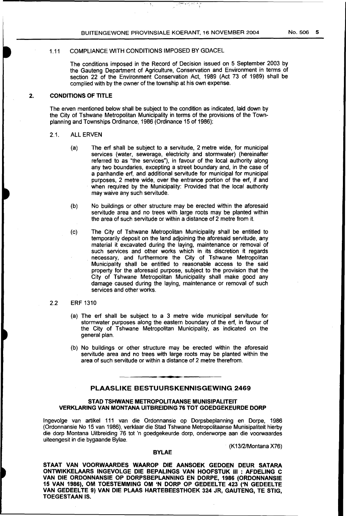#### 1.11 COMPLIANCE WITH CONDITIONS IMPOSED BY GDACEL

The conditions imposed in the Record of Decision issued on 5 September 2003 by the Gauteng Department of Agriculture, Conservation and Environment in terms of section 22 of the Environment Conservation Act, 1989 (Act 73 of 1989) shall be complied with by the owner of the township at his own expense.

#### **2. CONDITIONS OF TITLE**

The erven mentioned below shall be subject to the condition as indicated, laid down by the City of Tshwane Metropolitan Municipality in terms of the provisions of the Townplanning and Townships Ordinance, 1986 (Ordinance 15 of 1986):

#### 2.1. ALL ERVEN

- (a) The erf shall be subject to a servitude, 2 metre wide, for municipal services (water, sewerage, electricity and stormwater) (hereinafter referred to as "the services"), in favour of the local authority along any two boundaries, excepting a street boundary and, in the case of a panhandle erf, and additional servitude for municipal for municipal purposes, 2 metre wide, over the entrance portion of the erf, if and when required by the Municipality: Provided that the local authority may waive any such servitude.
- (b) No buildings or other structure may be erected within the aforesaid servitude area and no trees with large roots may be planted within the area of such servitude or within a distance of 2 metre from it.
- (c) The City of Tshwane Metropolitan Municipality shall be entitled to temporarily deposit on the land adjoining the aforesaid servitude, any material it excavated during the laying, maintenance or removal of such services and other works which in its discretion it regards necessary, and furthermore the City of Tshwane Metropolitan Municipality shall be entitled to reasonable access to the said property for the aforesaid purpose, subject to the provision that the City of Tshwane Metropolitan Municipality shall make good any damage caused during the laying, maintenance or removal of such services and other works.

#### 2.2 ERF 1310

- (a) The erf shall be subject to a 3 metre wide municipal servitude for stormwater purposes along the eastern boundary of the erf, in favour of the City of Tshwane Metropolitan Municipality, as indicated on the general plan.
- (b) No buildings or other structure may be erected within the aforesaid servitude area and no trees with large roots may be planted within the area of such servitude or within a distance of 2 metre therefrom.

#### **PLAASLIKE BESTUURSKENNISGEWING 2469**

#### **STAD TSHWANE METROPOLITAANSE MUNISIPALITEIT VERKLARING VAN MONTANA UITBREIDING 76 TOT GOEDGEKEURDE DORP**

lngevolge van artikel 111 van die Ordonnansie op Dorpsbeplanning en Dorpe, 1986 (Ordonnansie No 15 van 1986), verklaar die Stad Tshwane Metropolitaanse Munisipaliteit hierby die dorp Montana Uitbreiding 76 tot 'n goedgekeurde dorp, onderworpe aan die voorwaardes uiteengesit in die bygaande Bylae.

**BYLAE** 

(K13/2/Montana X76)

#### **STAAT VAN VOORWAARDES WAAROP DIE AANSOEK GEDOEN DEUR SATARA ONTWIKKELAARS INGEVOLGE DIE BEPALINGS VAN HOOFSTUK** Ill : **AFDELING C VAN DIE ORDONNANSIE OP DORPSBEPLANNING EN DORPE, 1986 (ORDONNANSIE 15 VAN 1986), OM TOESTEMMING OM 'N DORP OP GEDEELTE 423 ('N GEDEELTE VAN GEDEELTE 9) VAN DIE PLAAS HARTEBEESTHOEK 324 JR, GAUTENG, TE STIG, TOEGEST AAN** IS.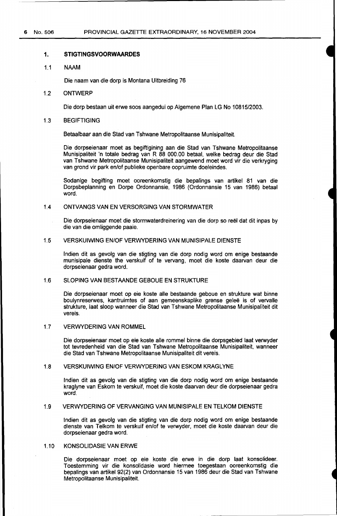#### **1. STIGTINGSVOORWAARDES**

#### 1.1 NAAM

Die naam van die dorp is Montana Uitbreiding 76

#### 1.2 ONTWERP

Die dorp bestaan uit erwe soos aangedui op Algemene Plan LG No 10815/2003.

#### 1.3 BEGIFTIGING

Betaalbaar aan die Stad van Tshwane Metropolitaanse Munisipaliteit.

Die dorpseienaar moet as begiftigining aan die Stad van Tshwane Metropolitaanse Munisipaliteit 'n totale bedrag van R 88 000.00 betaal, welke bedrag deur die Stad van Tshwane Metropolitaanse Munisipaliteit aangewend moet word vir die verkryging van grond vir park en/of publieke openbare oopruimte doeleindes.

Sodanige begifting moet ooreenkomstig die bepalings van artikel 81 van die Dorpsbeplanning en Dorpe Ordonnansie, 1986 (Ordonnansie 15 van 1986) betaal word.

#### 1.4 ONTVANGS VAN EN VERSORGING VAN STORMWATER

Die dorpseienaar moet die stormwaterdreinering van die dorp so reël dat dit inpas by die van die omliggende paaie.

#### 1.5 VERSKUIWING EN/OF VERWYDERING VAN MUNISIPALE DIENSTE

lndien dit as gevolg van die stigting van die dorp nodig word om enige bestaande munisipale dienste the verskuif of te vervang, moet die koste daarvan deur die dorpseienaar gedra word.

#### 1.6 SLOPING VAN BESTAANDE GEBOUE EN STRUKTURE

Die dorpseienaar moet op eie koste aile bestaande geboue en strukture wat binne boulynreserwes, kantruimtes of aan gemeenskaplike grense geleë is of vervalle strukture, laat sloop wanneer die Stad van Tshwane Metropolitaanse Munisipaliteit dit vereis.

#### 1.7 VERWYDERING VAN ROMMEL

Die dorpseienaar moet op eie koste aile rommel binne die dorpsgebied laat verwyder tot tevredenheid van die Stad van Tshwane Metropolitaanse Munisipaliteit, wanneer die Stad van Tshwane Metropolitaanse Munisipaliteit dit vereis.

#### 1.8 VERSKUIWING EN/OF VERWYDERING VAN ESKOM KRAGLYNE

lndien dit as gevolg van die stigting van die dorp nodig word om enige bestaande kraglyne van Eskom te verskuif, moet die koste daarvan deur die dorpseienaar gedra word.

#### 1.9 VERWYDERING OF VERVANGING VAN MUNISIPALE EN TELKOM DIENSTE

lndien dit as gevolg van die stigting van die dorp nodig word om enige bestaande dienste van Telkom te verskuif en/of te verwyder, moet die koste daarvan deur die dorpseienaar gedra word.

#### 1.10 KONSOLIDASIE VAN ERWE

Die dorpseienaar moet op eie koste die erwe in die dorp laat konsolideer. Toestemming vir die konsolidasie word hiermee toegestaan ooreenkomstig die bepalings van artikel 92(2) van Ordonnansie 15 van 1986 deur die Stad van Tshwane Metropolitaanse Munisipaliteit.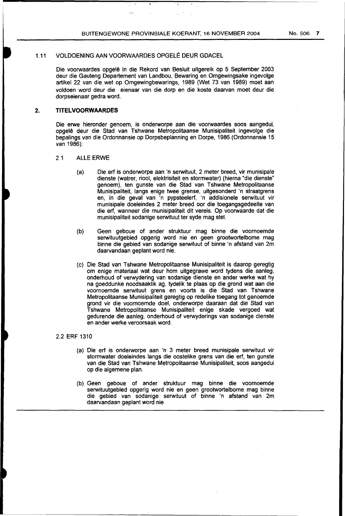#### 1.11 VOLDOENING AAN VOORWAARDES OPGELÊ DEUR GDACEL

Die voorwaardes opgele in die Rekord van Besluit uitgereik op 5 September 2003 deur die Gauteng Departement van Landbou, Bewaring en Omgewingsake ingevolge artikel 22 van die wet op Omgewingbewarings, 1989 (Wet 73 van 1989) moet aan voldoen word deur die eienaar van die dorp en die koste daarvan moet deur die dorpseienaar gedra word.

#### **2. TITELVOORWAARDES**

Die erwe hieronder genoem, is onderworpe aan die voorwaardes soos aangedui, opgele deur die Stad van Tshwane Metropolitaanse Munisipaliteit ingevolge die bepalings van die Ordonnansie op Dorpsbeplanning en Dorpe, 1986 (Ordonnansie 15 van 1986):

#### 2.1 ALLE ERWE

- (a) Die erf is onderworpe aan 'n serwituut, 2 meter breed, vir munisipale dienste (watrer, riool, elektrisiteit en stormwater) (hierna "die dienste" genoem), ten gunste van die Stad van Tshwane Metropolitaanse Munisipaliteit, langs enige twee grense, uitgesonderd 'n straatgrens en, in die geval van 'n pypsteelerf, 'n addisionele serwituut vir munisipale doeleindes 2 meter breed oor die toegangsgedeelte van die erf, wanneer die munisipaliteit dit vereis. Op voorwaarde dat die munisipaliteit sodanige serwituut ter syde mag stel.
- (b) Geen geboue of ander struktuur mag binne die voornoemde serwituutgebied opgerig word nie en geen grootwortelbome mag binne die gebied van sodanige serwituut of binne 'n afstand van 2m daarvandaan geplant word nie.
- (c) Die Stad van Tshwane Metropolitaanse Munisipaliteit is daarop geregtig om enige materiaal wat deur hom uitgegrawe word tydens die aanleg, onderhoud of verwydering van sodanige dienste en ander werke wat hy na goeddunke noodsaaklik ag, tydelik te plaas op die grond wat aan die voornoemde serwituut grens en voorts is die Stad van Tshwane Metropolitaanse Munisipaliteit geregtig op redelike toegang tot genoemde grond vir die voornoemde doe!, onderworpe daaraan dat die Stad van Tshwane Metropolitaanse Munisipaliteit enige skade vergoed wat gedurende die aanleg, onderhoud of verwyderings van sodanige dienste en ander werke veroorsaak word.

#### 2.2 ERF 1310

- (a) Die erf is onderworpe aan 'n 3 meter breed munisipale serwituut vir stormwater doeleindes langs die oostelike grens van die erf, ten gunste van die Stad van Tshwane Metropolitaanse Munisipaliteit, soos aangedui op die algemene plan.
- (b) Geen geboue of ander struktuur mag binne die voornoemde serwituutgebied opgerig word nie en geen grootwortelbome mag binne die gebied van sodanige serwituut of binne 'n afstand van 2m daarvandaan geplant word nie